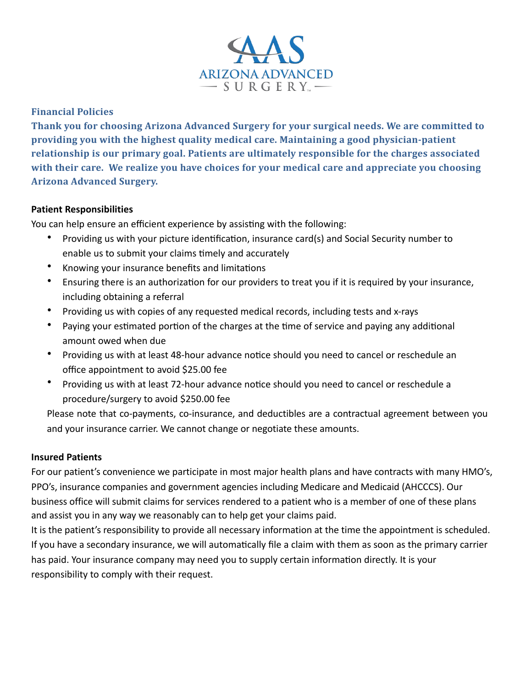

# **Financial Policies**

**Thank you for choosing Arizona Advanced Surgery for your surgical needs. We are committed to providing you with the highest quality medical care. Maintaining a good physician-patient** relationship is our primary goal. Patients are ultimately responsible for the charges associated with their care. We realize you have choices for your medical care and appreciate you choosing **Arizona Advanced Surgery.** 

## **Patient Responsibilities**

You can help ensure an efficient experience by assisting with the following:

- Providing us with your picture identification, insurance card(s) and Social Security number to enable us to submit your claims timely and accurately
- Knowing your insurance benefits and limitations
- Ensuring there is an authorization for our providers to treat you if it is required by your insurance, including obtaining a referral
- Providing us with copies of any requested medical records, including tests and x-rays
- Paying your estimated portion of the charges at the time of service and paying any additional amount owed when due
- Providing us with at least 48-hour advance notice should you need to cancel or reschedule an office appointment to avoid \$25.00 fee
- Providing us with at least 72-hour advance notice should you need to cancel or reschedule a procedure/surgery to avoid \$250.00 fee

Please note that co-payments, co-insurance, and deductibles are a contractual agreement between you and your insurance carrier. We cannot change or negotiate these amounts.

## **Insured Patients**

For our patient's convenience we participate in most major health plans and have contracts with many HMO's, PPO's, insurance companies and government agencies including Medicare and Medicaid (AHCCCS). Our business office will submit claims for services rendered to a patient who is a member of one of these plans and assist you in any way we reasonably can to help get your claims paid.

It is the patient's responsibility to provide all necessary information at the time the appointment is scheduled. If you have a secondary insurance, we will automatically file a claim with them as soon as the primary carrier has paid. Your insurance company may need you to supply certain information directly. It is your responsibility to comply with their request.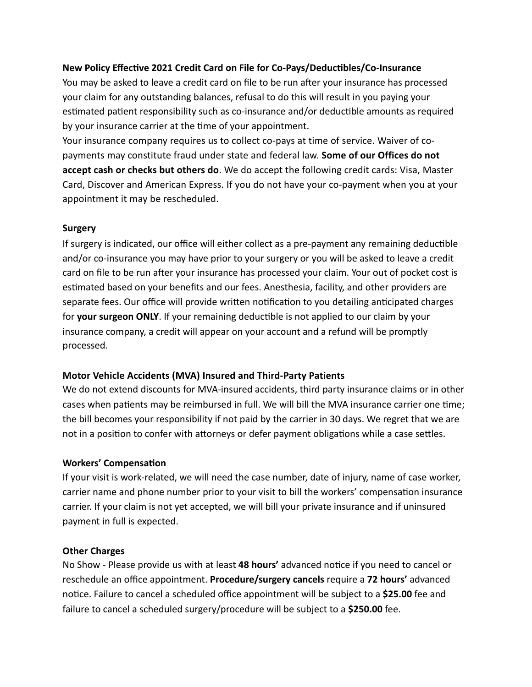### **New Policy Effective 2021 Credit Card on File for Co-Pays/Deductibles/Co-Insurance**

You may be asked to leave a credit card on file to be run after your insurance has processed your claim for any outstanding balances, refusal to do this will result in you paying your estimated patient responsibility such as co-insurance and/or deductible amounts as required by your insurance carrier at the time of your appointment.

Your insurance company requires us to collect co-pays at time of service. Waiver of copayments may constitute fraud under state and federal law. **Some of our Offices do not accept cash or checks but others do**. We do accept the following credit cards: Visa, Master Card, Discover and American Express. If you do not have your co-payment when you at your appointment it may be rescheduled.

#### **Surgery**

If surgery is indicated, our office will either collect as a pre-payment any remaining deductible and/or co-insurance you may have prior to your surgery or you will be asked to leave a credit card on file to be run after your insurance has processed your claim. Your out of pocket cost is estimated based on your benefits and our fees. Anesthesia, facility, and other providers are separate fees. Our office will provide written notification to you detailing anticipated charges for **your surgeon ONLY**. If your remaining deductible is not applied to our claim by your insurance company, a credit will appear on your account and a refund will be promptly processed. 

#### **Motor Vehicle Accidents (MVA) Insured and Third-Party Patients**

We do not extend discounts for MVA-insured accidents, third party insurance claims or in other cases when patients may be reimbursed in full. We will bill the MVA insurance carrier one time; the bill becomes your responsibility if not paid by the carrier in 30 days. We regret that we are not in a position to confer with attorneys or defer payment obligations while a case settles.

#### **Workers' Compensation**

If your visit is work-related, we will need the case number, date of injury, name of case worker, carrier name and phone number prior to your visit to bill the workers' compensation insurance carrier. If your claim is not yet accepted, we will bill your private insurance and if uninsured payment in full is expected.

#### **Other Charges**

No Show - Please provide us with at least 48 hours' advanced notice if you need to cancel or reschedule an office appointment. Procedure/surgery cancels require a 72 hours' advanced notice. Failure to cancel a scheduled office appointment will be subject to a \$25.00 fee and failure to cancel a scheduled surgery/procedure will be subject to a \$250.00 fee.